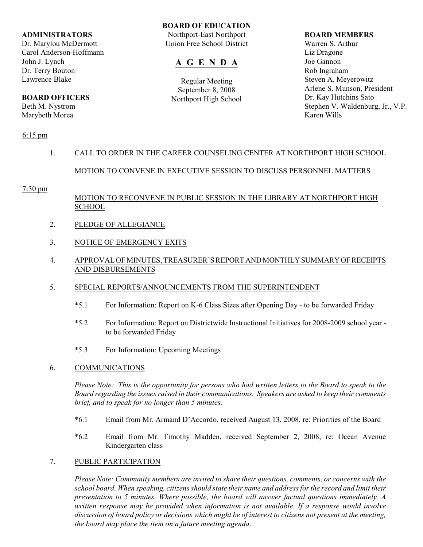#### **ADMINISTRATORS**

Dr. Marylou McDermott Carol Anderson-Hoffmann John J. Lynch Dr. Terry Bouton Lawrence Blake

## **BOARD OFFICERS**

Beth M. Nystrom Marybeth Morea

#### **BOARD OF EDUCATION**

Northport-East Northport Union Free School District

## **A G E N D A**

Regular Meeting September 8, 2008 Northport High School

#### **BOARD MEMBERS**

Warren S. Arthur Liz Dragone Joe Gannon Rob Ingraham Steven A. Meyerowitz Arlene S. Munson, President Dr. Kay Hutchins Sato Stephen V. Waldenburg, Jr., V.P. Karen Wills

#### 6:15 pm

## 1. CALL TO ORDER IN THE CAREER COUNSELING CENTER AT NORTHPORT HIGH SCHOOL

### MOTION TO CONVENE IN EXECUTIVE SESSION TO DISCUSS PERSONNEL MATTERS

#### 7:30 pm

### MOTION TO RECONVENE IN PUBLIC SESSION IN THE LIBRARY AT NORTHPORT HIGH SCHOOL

- 2. PLEDGE OF ALLEGIANCE
- 3. NOTICE OF EMERGENCY EXITS
- 4. APPROVAL OF MINUTES, TREASURER'S REPORT AND MONTHLY SUMMARY OF RECEIPTS AND DISBURSEMENTS
- 5. SPECIAL REPORTS/ANNOUNCEMENTS FROM THE SUPERINTENDENT
	- \*5.1 For Information: Report on K-6 Class Sizes after Opening Day to be forwarded Friday
	- \*5.2 For Information: Report on Districtwide Instructional Initiatives for 2008-2009 school year to be forwarded Friday
	- \*5.3 For Information: Upcoming Meetings
- 6. COMMUNICATIONS

*Please Note: This is the opportunity for persons who had written letters to the Board to speak to the Board regarding the issues raised in their communications. Speakers are asked to keep their comments brief, and to speak for no longer than 5 minutes.*

- \*6.1 Email from Mr. Armand D'Accordo, received August 13, 2008, re: Priorities of the Board
- \*6.2 Email from Mr. Timothy Madden, received September 2, 2008, re: Ocean Avenue Kindergarten class

### 7. PUBLIC PARTICIPATION

*Please Note: Community members are invited to share their questions, comments, or concerns with the school board. When speaking, citizensshould state their name and address for the record and limit their presentation to 5 minutes. Where possible, the board will answer factual questions immediately. A written response may be provided when information is not available. If a response would involve discussion of board policy or decisions which might be of interest to citizens not present at the meeting, the board may place the item on a future meeting agenda*.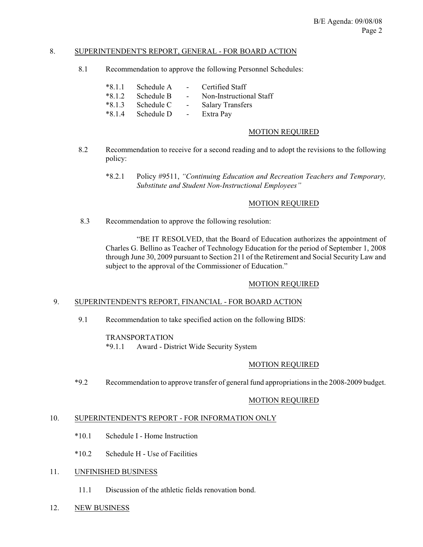### 8. SUPERINTENDENT'S REPORT, GENERAL - FOR BOARD ACTION

8.1 Recommendation to approve the following Personnel Schedules:

| $*8.1.1$ | Schedule A | $\sim$          | Certified Staff         |
|----------|------------|-----------------|-------------------------|
| $*8.1.2$ | Schedule B | $\sim$ 10 $\pm$ | Non-Instructional Staff |
| $*8.1.3$ | Schedule C | $\sim$          | <b>Salary Transfers</b> |
| $*8.1.4$ | Schedule D | $\sim$          | Extra Pay               |

#### MOTION REQUIRED

- 8.2 Recommendation to receive for a second reading and to adopt the revisions to the following policy:
	- \*8.2.1 Policy #9511, *"Continuing Education and Recreation Teachers and Temporary, Substitute and Student Non-Instructional Employees"*

### MOTION REQUIRED

8.3 Recommendation to approve the following resolution:

"BE IT RESOLVED, that the Board of Education authorizes the appointment of Charles G. Bellino as Teacher of Technology Education for the period of September 1, 2008 through June 30, 2009 pursuant to Section 211 of the Retirement and Social Security Law and subject to the approval of the Commissioner of Education."

#### MOTION REQUIRED

#### 9. SUPERINTENDENT'S REPORT, FINANCIAL - FOR BOARD ACTION

9.1 Recommendation to take specified action on the following BIDS:

#### TRANSPORTATION

\*9.1.1 Award - District Wide Security System

#### MOTION REQUIRED

\*9.2 Recommendation to approve transfer of general fund appropriations in the 2008-2009 budget.

#### MOTION REQUIRED

### 10. SUPERINTENDENT'S REPORT - FOR INFORMATION ONLY

- \*10.1 Schedule I Home Instruction
- \*10.2 Schedule H Use of Facilities

### 11. UNFINISHED BUSINESS

- 11.1 Discussion of the athletic fields renovation bond.
- 12. NEW BUSINESS